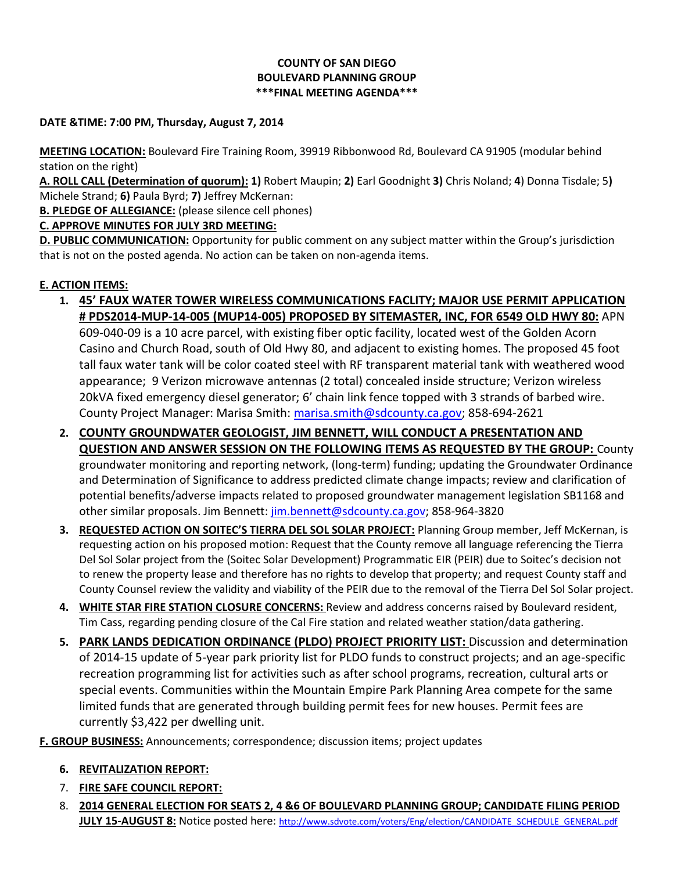# **COUNTY OF SAN DIEGO BOULEVARD PLANNING GROUP \*\*\*FINAL MEETING AGENDA\*\*\***

### **DATE &TIME: 7:00 PM, Thursday, August 7, 2014**

**MEETING LOCATION:** Boulevard Fire Training Room, 39919 Ribbonwood Rd, Boulevard CA 91905 (modular behind station on the right)

**A. ROLL CALL (Determination of quorum): 1)** Robert Maupin; **2)** Earl Goodnight **3)** Chris Noland; **4**) Donna Tisdale; 5**)**  Michele Strand; **6)** Paula Byrd; **7)** Jeffrey McKernan:

**B. PLEDGE OF ALLEGIANCE:** (please silence cell phones)

**C. APPROVE MINUTES FOR JULY 3RD MEETING:** 

**D. PUBLIC COMMUNICATION:** Opportunity for public comment on any subject matter within the Group's jurisdiction that is not on the posted agenda. No action can be taken on non-agenda items.

# **E. ACTION ITEMS:**

- **1. 45' FAUX WATER TOWER WIRELESS COMMUNICATIONS FACLITY; MAJOR USE PERMIT APPLICATION # PDS2014-MUP-14-005 (MUP14-005) PROPOSED BY SITEMASTER, INC, FOR 6549 OLD HWY 80:** APN 609-040-09 is a 10 acre parcel, with existing fiber optic facility, located west of the Golden Acorn Casino and Church Road, south of Old Hwy 80, and adjacent to existing homes. The proposed 45 foot tall faux water tank will be color coated steel with RF transparent material tank with weathered wood appearance; 9 Verizon microwave antennas (2 total) concealed inside structure; Verizon wireless 20kVA fixed emergency diesel generator; 6' chain link fence topped with 3 strands of barbed wire. County Project Manager: Marisa Smith: [marisa.smith@sdcounty.ca.gov;](mailto:marisa.smith@sdcounty.ca.gov) 858-694-2621
- **2. COUNTY GROUNDWATER GEOLOGIST, JIM BENNETT, WILL CONDUCT A PRESENTATION AND QUESTION AND ANSWER SESSION ON THE FOLLOWING ITEMS AS REQUESTED BY THE GROUP:** County groundwater monitoring and reporting network, (long-term) funding; updating the Groundwater Ordinance and Determination of Significance to address predicted climate change impacts; review and clarification of potential benefits/adverse impacts related to proposed groundwater management legislation SB1168 and other similar proposals. Jim Bennett: [jim.bennett@sdcounty.ca.gov;](mailto:jim.bennett@sdcounty.ca.gov) 858-964-3820
- **3. REQUESTED ACTION ON SOITEC'S TIERRA DEL SOL SOLAR PROJECT:** Planning Group member, Jeff McKernan, is requesting action on his proposed motion: Request that the County remove all language referencing the Tierra Del Sol Solar project from the (Soitec Solar Development) Programmatic EIR (PEIR) due to Soitec's decision not to renew the property lease and therefore has no rights to develop that property; and request County staff and County Counsel review the validity and viability of the PEIR due to the removal of the Tierra Del Sol Solar project.
- **4. WHITE STAR FIRE STATION CLOSURE CONCERNS:** Review and address concerns raised by Boulevard resident, Tim Cass, regarding pending closure of the Cal Fire station and related weather station/data gathering.
- **5. PARK LANDS DEDICATION ORDINANCE (PLDO) PROJECT PRIORITY LIST:** Discussion and determination of 2014-15 update of 5-year park priority list for PLDO funds to construct projects; and an age-specific recreation programming list for activities such as after school programs, recreation, cultural arts or special events. Communities within the Mountain Empire Park Planning Area compete for the same limited funds that are generated through building permit fees for new houses. Permit fees are currently \$3,422 per dwelling unit.

**F. GROUP BUSINESS:** Announcements; correspondence; discussion items; project updates

# **6. REVITALIZATION REPORT:**

- 7. **FIRE SAFE COUNCIL REPORT:**
- 8. **2014 GENERAL ELECTION FOR SEATS 2, 4 &6 OF BOULEVARD PLANNING GROUP; CANDIDATE FILING PERIOD JULY 15-AUGUST 8:** Notice posted here: [http://www.sdvote.com/voters/Eng/election/CANDIDATE\\_SCHEDULE\\_GENERAL.pdf](http://www.sdvote.com/voters/Eng/election/CANDIDATE_SCHEDULE_GENERAL.pdf)